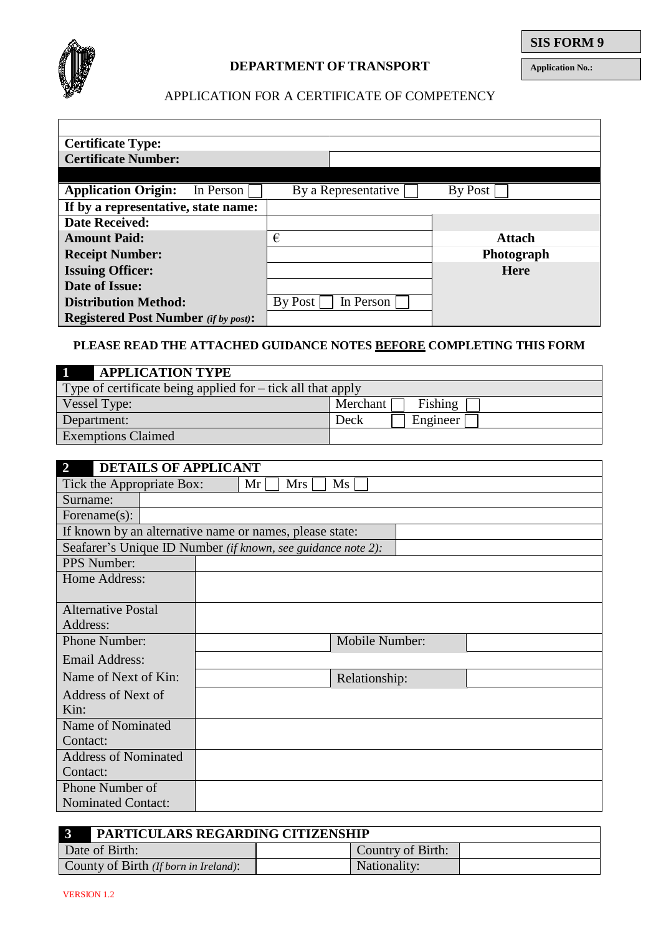

## APPLICATION FOR A CERTIFICATE OF COMPETENCY

| <b>Certificate Type:</b>                    |                      |               |
|---------------------------------------------|----------------------|---------------|
| <b>Certificate Number:</b>                  |                      |               |
|                                             |                      |               |
| <b>Application Origin:</b><br>In Person     | By a Representative  | By Post       |
| If by a representative, state name:         |                      |               |
| <b>Date Received:</b>                       |                      |               |
| <b>Amount Paid:</b>                         | €                    | <b>Attach</b> |
| <b>Receipt Number:</b>                      |                      | Photograph    |
| <b>Issuing Officer:</b>                     |                      | <b>Here</b>   |
| Date of Issue:                              |                      |               |
| <b>Distribution Method:</b>                 | By Post<br>In Person |               |
| <b>Registered Post Number</b> (if by post): |                      |               |

# **PLEASE READ THE ATTACHED GUIDANCE NOTES BEFORE COMPLETING THIS FORM**

| <b>APPLICATION TYPE</b>                                     |                       |  |  |  |  |  |
|-------------------------------------------------------------|-----------------------|--|--|--|--|--|
| Type of certificate being applied for – tick all that apply |                       |  |  |  |  |  |
| Vessel Type:                                                | Merchant [<br>Fishing |  |  |  |  |  |
| Department:                                                 | Engineer<br>Deck      |  |  |  |  |  |
| <b>Exemptions Claimed</b>                                   |                       |  |  |  |  |  |

| 2                                                            | <b>DETAILS OF APPLICANT</b> |    |     |                |  |
|--------------------------------------------------------------|-----------------------------|----|-----|----------------|--|
| Tick the Appropriate Box:                                    |                             | Mr | Mrs | Ms             |  |
| Surname:                                                     |                             |    |     |                |  |
| Forename $(s)$ :                                             |                             |    |     |                |  |
| If known by an alternative name or names, please state:      |                             |    |     |                |  |
| Seafarer's Unique ID Number (if known, see guidance note 2): |                             |    |     |                |  |
| <b>PPS</b> Number:                                           |                             |    |     |                |  |
| Home Address:                                                |                             |    |     |                |  |
|                                                              |                             |    |     |                |  |
| <b>Alternative Postal</b>                                    |                             |    |     |                |  |
| Address:                                                     |                             |    |     |                |  |
| Phone Number:                                                |                             |    |     | Mobile Number: |  |
| Email Address:                                               |                             |    |     |                |  |
| Name of Next of Kin:                                         |                             |    |     | Relationship:  |  |
| Address of Next of                                           |                             |    |     |                |  |
| Kin:                                                         |                             |    |     |                |  |
| Name of Nominated                                            |                             |    |     |                |  |
| Contact:                                                     |                             |    |     |                |  |
| <b>Address of Nominated</b>                                  |                             |    |     |                |  |
| Contact:                                                     |                             |    |     |                |  |
| Phone Number of                                              |                             |    |     |                |  |
| <b>Nominated Contact:</b>                                    |                             |    |     |                |  |

| $\mathbf{B}$<br>PARTICULARS REGARDING CITIZENSHIP |                   |  |  |  |
|---------------------------------------------------|-------------------|--|--|--|
| Date of Birth:                                    | Country of Birth: |  |  |  |
| County of Birth (If born in Ireland):             | Nationality:      |  |  |  |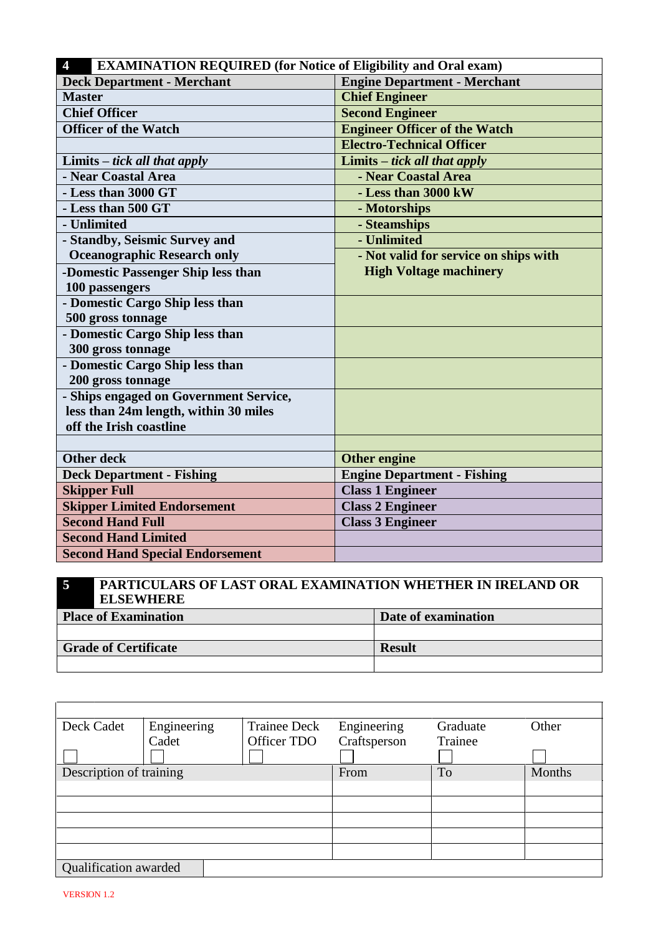| <b>EXAMINATION REQUIRED</b> (for Notice of Eligibility and Oral exam)<br>$\overline{4}$ |                                       |  |  |  |  |
|-----------------------------------------------------------------------------------------|---------------------------------------|--|--|--|--|
| <b>Deck Department - Merchant</b>                                                       | <b>Engine Department - Merchant</b>   |  |  |  |  |
| <b>Master</b>                                                                           | <b>Chief Engineer</b>                 |  |  |  |  |
| <b>Chief Officer</b>                                                                    | <b>Second Engineer</b>                |  |  |  |  |
| <b>Officer of the Watch</b>                                                             | <b>Engineer Officer of the Watch</b>  |  |  |  |  |
|                                                                                         | <b>Electro-Technical Officer</b>      |  |  |  |  |
| Limits $-$ tick all that apply                                                          | Limits $-$ tick all that apply        |  |  |  |  |
| - Near Coastal Area                                                                     | - Near Coastal Area                   |  |  |  |  |
| - Less than 3000 GT                                                                     | - Less than 3000 kW                   |  |  |  |  |
| - Less than 500 GT                                                                      | - Motorships                          |  |  |  |  |
| - Unlimited                                                                             | - Steamships                          |  |  |  |  |
| - Standby, Seismic Survey and                                                           | - Unlimited                           |  |  |  |  |
| <b>Oceanographic Research only</b>                                                      | - Not valid for service on ships with |  |  |  |  |
| -Domestic Passenger Ship less than                                                      | <b>High Voltage machinery</b>         |  |  |  |  |
| 100 passengers                                                                          |                                       |  |  |  |  |
| - Domestic Cargo Ship less than                                                         |                                       |  |  |  |  |
| 500 gross tonnage                                                                       |                                       |  |  |  |  |
| - Domestic Cargo Ship less than                                                         |                                       |  |  |  |  |
| 300 gross tonnage                                                                       |                                       |  |  |  |  |
| - Domestic Cargo Ship less than                                                         |                                       |  |  |  |  |
| 200 gross tonnage                                                                       |                                       |  |  |  |  |
| - Ships engaged on Government Service,                                                  |                                       |  |  |  |  |
| less than 24m length, within 30 miles                                                   |                                       |  |  |  |  |
| off the Irish coastline                                                                 |                                       |  |  |  |  |
|                                                                                         |                                       |  |  |  |  |
| <b>Other deck</b>                                                                       | <b>Other engine</b>                   |  |  |  |  |
| <b>Deck Department - Fishing</b>                                                        | <b>Engine Department - Fishing</b>    |  |  |  |  |
| <b>Skipper Full</b>                                                                     | <b>Class 1 Engineer</b>               |  |  |  |  |
| <b>Skipper Limited Endorsement</b>                                                      | <b>Class 2 Engineer</b>               |  |  |  |  |
| <b>Second Hand Full</b>                                                                 | <b>Class 3 Engineer</b>               |  |  |  |  |
| <b>Second Hand Limited</b>                                                              |                                       |  |  |  |  |
| <b>Second Hand Special Endorsement</b>                                                  |                                       |  |  |  |  |

## **5 PARTICULARS OF LAST ORAL EXAMINATION WHETHER IN IRELAND OR ELSEWHERE Place of Examination Date of examination**

| Piace of Examination        | - Date of examination |
|-----------------------------|-----------------------|
|                             |                       |
|                             |                       |
| <b>Grade of Certificate</b> | <b>Result</b>         |
|                             |                       |

| Deck Cadet              | Engineering | <b>Trainee Deck</b> | Engineering  | Graduate  | Other  |
|-------------------------|-------------|---------------------|--------------|-----------|--------|
|                         | Cadet       | Officer TDO         | Craftsperson | Trainee   |        |
|                         |             |                     |              |           |        |
| Description of training |             |                     | From         | <b>To</b> | Months |
|                         |             |                     |              |           |        |
|                         |             |                     |              |           |        |
|                         |             |                     |              |           |        |
|                         |             |                     |              |           |        |
|                         |             |                     |              |           |        |
| Qualification awarded   |             |                     |              |           |        |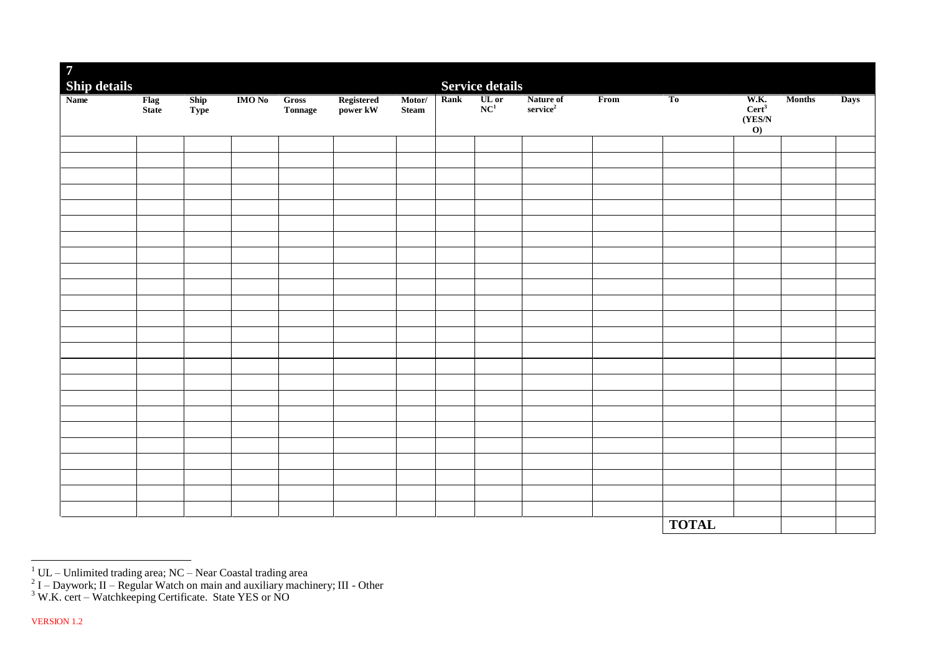| <b>Service details</b><br>$\begin{array}{c c}\n\textbf{Rank} & \textbf{UL} \textbf{ or } \\ \textbf{NC}^1 & & \end{array}$<br>W.K.<br><b>IMO No</b> Gross<br>Registered<br>power kW<br>Motor/<br>Nature of<br>service <sup>2</sup><br>$\overline{\text{From}}$<br>T <sub>0</sub><br><b>Months</b><br>Flag<br>State<br>$\frac{\text{Ship}}{\text{Type}}$<br><b>Days</b><br>Cert <sup>3</sup><br>${\bf Steam}$<br>Tonnage<br>(YES/N)<br>$\boldsymbol{\mathrm{o}}$ | $\overline{7}$      |  |  |  |  |  |              |  |  |
|-----------------------------------------------------------------------------------------------------------------------------------------------------------------------------------------------------------------------------------------------------------------------------------------------------------------------------------------------------------------------------------------------------------------------------------------------------------------|---------------------|--|--|--|--|--|--------------|--|--|
|                                                                                                                                                                                                                                                                                                                                                                                                                                                                 | <b>Ship details</b> |  |  |  |  |  |              |  |  |
|                                                                                                                                                                                                                                                                                                                                                                                                                                                                 | <b>Name</b>         |  |  |  |  |  |              |  |  |
|                                                                                                                                                                                                                                                                                                                                                                                                                                                                 |                     |  |  |  |  |  |              |  |  |
|                                                                                                                                                                                                                                                                                                                                                                                                                                                                 |                     |  |  |  |  |  |              |  |  |
|                                                                                                                                                                                                                                                                                                                                                                                                                                                                 |                     |  |  |  |  |  |              |  |  |
|                                                                                                                                                                                                                                                                                                                                                                                                                                                                 |                     |  |  |  |  |  |              |  |  |
|                                                                                                                                                                                                                                                                                                                                                                                                                                                                 |                     |  |  |  |  |  |              |  |  |
|                                                                                                                                                                                                                                                                                                                                                                                                                                                                 |                     |  |  |  |  |  |              |  |  |
|                                                                                                                                                                                                                                                                                                                                                                                                                                                                 |                     |  |  |  |  |  |              |  |  |
|                                                                                                                                                                                                                                                                                                                                                                                                                                                                 |                     |  |  |  |  |  |              |  |  |
|                                                                                                                                                                                                                                                                                                                                                                                                                                                                 |                     |  |  |  |  |  |              |  |  |
|                                                                                                                                                                                                                                                                                                                                                                                                                                                                 |                     |  |  |  |  |  |              |  |  |
|                                                                                                                                                                                                                                                                                                                                                                                                                                                                 |                     |  |  |  |  |  |              |  |  |
|                                                                                                                                                                                                                                                                                                                                                                                                                                                                 |                     |  |  |  |  |  |              |  |  |
|                                                                                                                                                                                                                                                                                                                                                                                                                                                                 |                     |  |  |  |  |  |              |  |  |
|                                                                                                                                                                                                                                                                                                                                                                                                                                                                 |                     |  |  |  |  |  |              |  |  |
|                                                                                                                                                                                                                                                                                                                                                                                                                                                                 |                     |  |  |  |  |  |              |  |  |
|                                                                                                                                                                                                                                                                                                                                                                                                                                                                 |                     |  |  |  |  |  |              |  |  |
|                                                                                                                                                                                                                                                                                                                                                                                                                                                                 |                     |  |  |  |  |  |              |  |  |
|                                                                                                                                                                                                                                                                                                                                                                                                                                                                 |                     |  |  |  |  |  |              |  |  |
|                                                                                                                                                                                                                                                                                                                                                                                                                                                                 |                     |  |  |  |  |  |              |  |  |
|                                                                                                                                                                                                                                                                                                                                                                                                                                                                 |                     |  |  |  |  |  |              |  |  |
|                                                                                                                                                                                                                                                                                                                                                                                                                                                                 |                     |  |  |  |  |  |              |  |  |
|                                                                                                                                                                                                                                                                                                                                                                                                                                                                 |                     |  |  |  |  |  |              |  |  |
|                                                                                                                                                                                                                                                                                                                                                                                                                                                                 |                     |  |  |  |  |  |              |  |  |
|                                                                                                                                                                                                                                                                                                                                                                                                                                                                 |                     |  |  |  |  |  | <b>TOTAL</b> |  |  |

<sup>&</sup>lt;sup>1</sup> UL – Unlimited trading area; NC – Near Coastal trading area<br><sup>2</sup> I – Daywork; II – Regular Watch on main and auxiliary machinery; III - Other

 $3$  W.K. cert – Watchkeeping Certificate. State YES or NO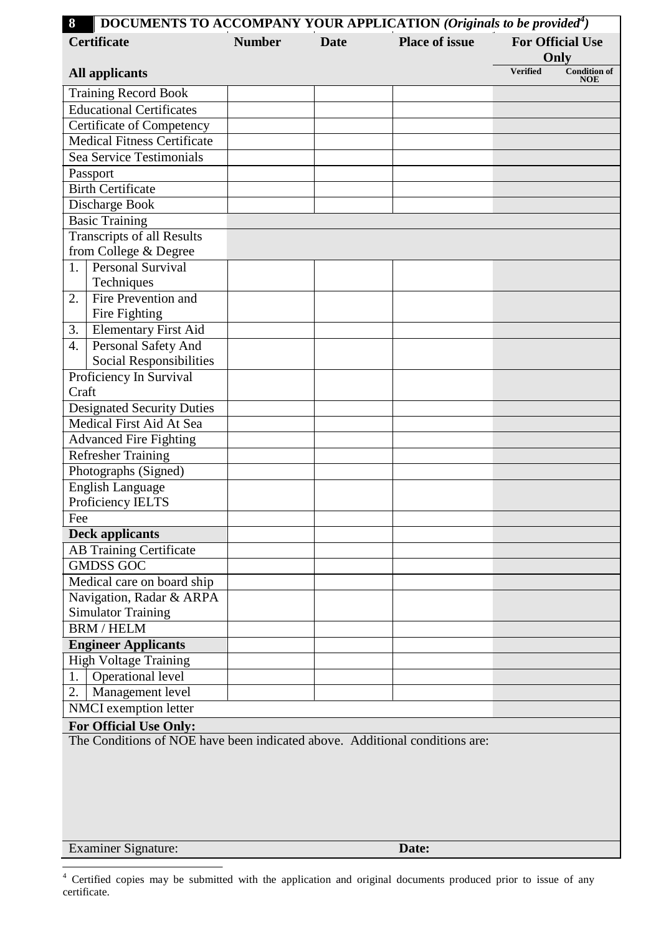| 8                | <b>DOCUMENTS TO ACCOMPANY YOUR APPLICATION (Originals to be provided<sup>4</sup>)</b> |               |             |                       |                 |                                   |  |
|------------------|---------------------------------------------------------------------------------------|---------------|-------------|-----------------------|-----------------|-----------------------------------|--|
|                  | <b>Certificate</b>                                                                    | <b>Number</b> | <b>Date</b> | <b>Place of issue</b> |                 | <b>For Official Use</b>           |  |
|                  |                                                                                       |               |             |                       |                 | Only                              |  |
|                  | <b>All applicants</b>                                                                 |               |             |                       | <b>Verified</b> | <b>Condition of</b><br><b>NOE</b> |  |
|                  | <b>Training Record Book</b>                                                           |               |             |                       |                 |                                   |  |
|                  | <b>Educational Certificates</b>                                                       |               |             |                       |                 |                                   |  |
|                  | <b>Certificate of Competency</b>                                                      |               |             |                       |                 |                                   |  |
|                  | <b>Medical Fitness Certificate</b>                                                    |               |             |                       |                 |                                   |  |
|                  | Sea Service Testimonials                                                              |               |             |                       |                 |                                   |  |
|                  | Passport                                                                              |               |             |                       |                 |                                   |  |
|                  | <b>Birth Certificate</b>                                                              |               |             |                       |                 |                                   |  |
|                  | Discharge Book                                                                        |               |             |                       |                 |                                   |  |
|                  | <b>Basic Training</b>                                                                 |               |             |                       |                 |                                   |  |
|                  | <b>Transcripts of all Results</b><br>from College & Degree                            |               |             |                       |                 |                                   |  |
| 1.               | <b>Personal Survival</b>                                                              |               |             |                       |                 |                                   |  |
|                  | Techniques                                                                            |               |             |                       |                 |                                   |  |
| 2.               | Fire Prevention and                                                                   |               |             |                       |                 |                                   |  |
|                  | Fire Fighting                                                                         |               |             |                       |                 |                                   |  |
| 3.               | <b>Elementary First Aid</b>                                                           |               |             |                       |                 |                                   |  |
| $\overline{4}$ . | Personal Safety And                                                                   |               |             |                       |                 |                                   |  |
|                  | <b>Social Responsibilities</b>                                                        |               |             |                       |                 |                                   |  |
|                  | Proficiency In Survival                                                               |               |             |                       |                 |                                   |  |
| Craft            |                                                                                       |               |             |                       |                 |                                   |  |
|                  | <b>Designated Security Duties</b>                                                     |               |             |                       |                 |                                   |  |
|                  | Medical First Aid At Sea                                                              |               |             |                       |                 |                                   |  |
|                  | <b>Advanced Fire Fighting</b>                                                         |               |             |                       |                 |                                   |  |
|                  | <b>Refresher Training</b>                                                             |               |             |                       |                 |                                   |  |
|                  | Photographs (Signed)                                                                  |               |             |                       |                 |                                   |  |
|                  | <b>English Language</b>                                                               |               |             |                       |                 |                                   |  |
|                  | Proficiency IELTS                                                                     |               |             |                       |                 |                                   |  |
| Fee              |                                                                                       |               |             |                       |                 |                                   |  |
|                  | <b>Deck applicants</b>                                                                |               |             |                       |                 |                                   |  |
|                  | <b>AB Training Certificate</b><br><b>GMDSS GOC</b>                                    |               |             |                       |                 |                                   |  |
|                  | Medical care on board ship                                                            |               |             |                       |                 |                                   |  |
|                  |                                                                                       |               |             |                       |                 |                                   |  |
|                  | Navigation, Radar & ARPA<br><b>Simulator Training</b>                                 |               |             |                       |                 |                                   |  |
|                  | <b>BRM / HELM</b>                                                                     |               |             |                       |                 |                                   |  |
|                  | <b>Engineer Applicants</b>                                                            |               |             |                       |                 |                                   |  |
|                  | <b>High Voltage Training</b>                                                          |               |             |                       |                 |                                   |  |
| 1.               | Operational level                                                                     |               |             |                       |                 |                                   |  |
| 2.               | Management level                                                                      |               |             |                       |                 |                                   |  |
|                  | NMCI exemption letter                                                                 |               |             |                       |                 |                                   |  |
|                  | For Official Use Only:                                                                |               |             |                       |                 |                                   |  |
|                  | The Conditions of NOE have been indicated above. Additional conditions are:           |               |             |                       |                 |                                   |  |
|                  |                                                                                       |               |             |                       |                 |                                   |  |
|                  |                                                                                       |               |             |                       |                 |                                   |  |

Examiner Signature: **Date:**

<sup>&</sup>lt;sup>4</sup> Certified copies may be submitted with the application and original documents produced prior to issue of any certificate.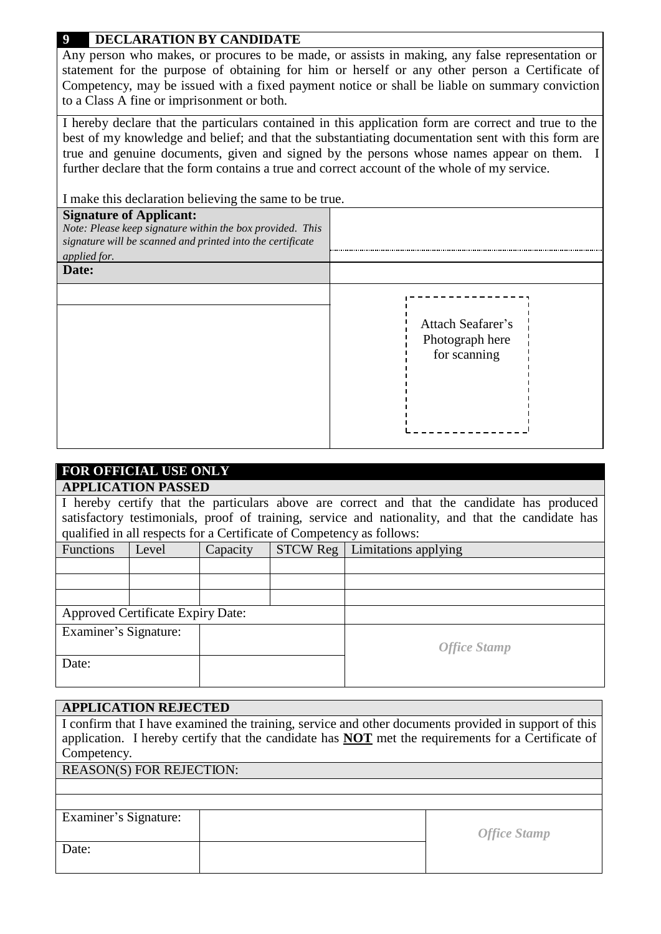# **9 DECLARATION BY CANDIDATE**

Any person who makes, or procures to be made, or assists in making, any false representation or statement for the purpose of obtaining for him or herself or any other person a Certificate of Competency, may be issued with a fixed payment notice or shall be liable on summary conviction to a Class A fine or imprisonment or both.

I hereby declare that the particulars contained in this application form are correct and true to the best of my knowledge and belief; and that the substantiating documentation sent with this form are true and genuine documents, given and signed by the persons whose names appear on them. I further declare that the form contains a true and correct account of the whole of my service.

I make this declaration believing the same to be true.

| <b>Signature of Applicant:</b><br>Note: Please keep signature within the box provided. This<br>signature will be scanned and printed into the certificate<br>applied for.<br>Date: |                                                      |
|------------------------------------------------------------------------------------------------------------------------------------------------------------------------------------|------------------------------------------------------|
|                                                                                                                                                                                    | Attach Seafarer's<br>Photograph here<br>for scanning |

# **FOR OFFICIAL USE ONLY**

## **APPLICATION PASSED**

I hereby certify that the particulars above are correct and that the candidate has produced satisfactory testimonials, proof of training, service and nationality, and that the candidate has qualified in all respects for a Certificate of Competency as follows:

| Functions             | Level                                    | Capacity | <b>STCW Reg</b> | Limitations applying |
|-----------------------|------------------------------------------|----------|-----------------|----------------------|
|                       |                                          |          |                 |                      |
|                       |                                          |          |                 |                      |
|                       |                                          |          |                 |                      |
|                       | <b>Approved Certificate Expiry Date:</b> |          |                 |                      |
| Examiner's Signature: |                                          |          |                 |                      |
|                       |                                          |          |                 | <b>Office Stamp</b>  |
| Date:                 |                                          |          |                 |                      |
|                       |                                          |          |                 |                      |

## **APPLICATION REJECTED**

| I confirm that I have examined the training, service and other documents provided in support of this<br>application. I hereby certify that the candidate has <b>NOT</b> met the requirements for a Certificate of<br>Competency. |                     |  |  |  |  |  |  |
|----------------------------------------------------------------------------------------------------------------------------------------------------------------------------------------------------------------------------------|---------------------|--|--|--|--|--|--|
| <b>REASON(S) FOR REJECTION:</b>                                                                                                                                                                                                  |                     |  |  |  |  |  |  |
|                                                                                                                                                                                                                                  |                     |  |  |  |  |  |  |
|                                                                                                                                                                                                                                  |                     |  |  |  |  |  |  |
| Examiner's Signature:                                                                                                                                                                                                            |                     |  |  |  |  |  |  |
|                                                                                                                                                                                                                                  |                     |  |  |  |  |  |  |
|                                                                                                                                                                                                                                  | <b>Office Stamp</b> |  |  |  |  |  |  |
| Date:                                                                                                                                                                                                                            |                     |  |  |  |  |  |  |
|                                                                                                                                                                                                                                  |                     |  |  |  |  |  |  |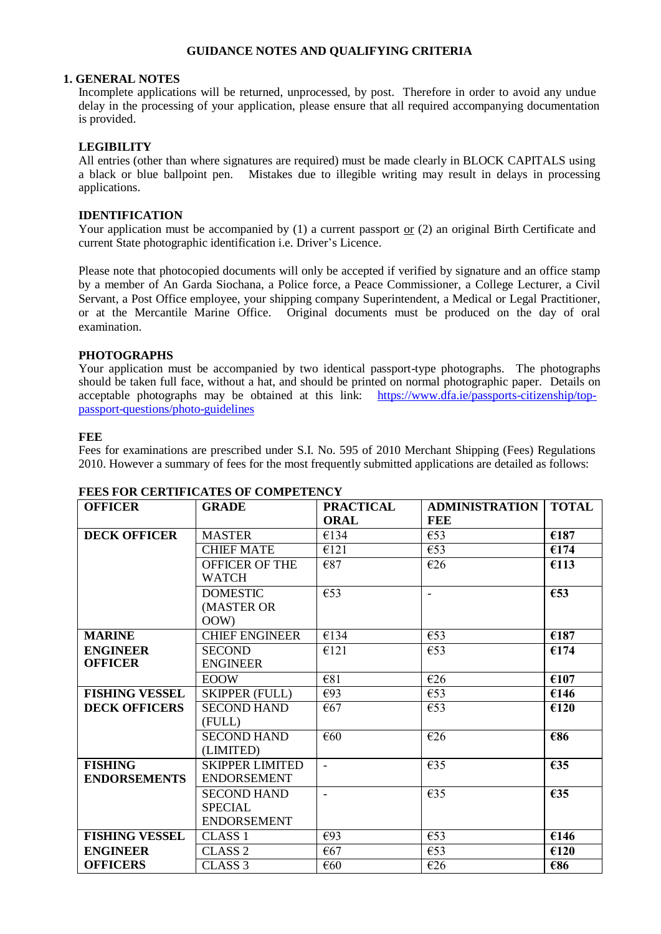## **GUIDANCE NOTES AND QUALIFYING CRITERIA**

#### **1. GENERAL NOTES**

Incomplete applications will be returned, unprocessed, by post. Therefore in order to avoid any undue delay in the processing of your application, please ensure that all required accompanying documentation is provided.

### **LEGIBILITY**

All entries (other than where signatures are required) must be made clearly in BLOCK CAPITALS using a black or blue ballpoint pen. Mistakes due to illegible writing may result in delays in processing applications.

#### **IDENTIFICATION**

Your application must be accompanied by (1) a current passport or (2) an original Birth Certificate and current State photographic identification i.e. Driver's Licence.

Please note that photocopied documents will only be accepted if verified by signature and an office stamp by a member of An Garda Siochana, a Police force, a Peace Commissioner, a College Lecturer, a Civil Servant, a Post Office employee, your shipping company Superintendent, a Medical or Legal Practitioner, or at the Mercantile Marine Office. Original documents must be produced on the day of oral examination.

#### **PHOTOGRAPHS**

Your application must be accompanied by two identical passport-type photographs. The photographs should be taken full face, without a hat, and should be printed on normal photographic paper. Details on acceptable photographs may be obtained at this link: [https://www.dfa.ie/passports-citizenship/top](https://www.dfa.ie/passports-citizenship/top-passport-questions/photo-guidelines)[passport-questions/photo-guidelines](https://www.dfa.ie/passports-citizenship/top-passport-questions/photo-guidelines)

### **FEE**

Fees for examinations are prescribed under S.I. No. 595 of 2010 Merchant Shipping (Fees) Regulations 2010. However a summary of fees for the most frequently submitted applications are detailed as follows:

| <b>OFFICER</b>        | <b>GRADE</b>           | <b>PRACTICAL</b>        | <b>ADMINISTRATION</b>    | <b>TOTAL</b>              |
|-----------------------|------------------------|-------------------------|--------------------------|---------------------------|
|                       |                        | <b>ORAL</b>             | <b>FEE</b>               |                           |
| <b>DECK OFFICER</b>   | <b>MASTER</b>          | €134                    | €53                      | €187                      |
|                       | <b>CHIEF MATE</b>      | E121                    | €53                      | €174                      |
|                       | <b>OFFICER OF THE</b>  | €87                     | €26                      | €113                      |
|                       | <b>WATCH</b>           |                         |                          |                           |
|                       | <b>DOMESTIC</b>        | $\overline{\epsilon$ 53 | $\overline{\phantom{a}}$ | €53                       |
|                       | (MASTER OR             |                         |                          |                           |
|                       | OOW)                   |                         |                          |                           |
| <b>MARINE</b>         | <b>CHIEF ENGINEER</b>  | €134                    | €53                      | €187                      |
| <b>ENGINEER</b>       | <b>SECOND</b>          | E121                    | $\epsilon$ 53            | €174                      |
| <b>OFFICER</b>        | <b>ENGINEER</b>        |                         |                          |                           |
|                       | <b>EOOW</b>            | €81                     | $\overline{\epsilon}26$  | $\overline{\epsilon}$ 107 |
| <b>FISHING VESSEL</b> | <b>SKIPPER (FULL)</b>  | €93                     | €53                      | €146                      |
| <b>DECK OFFICERS</b>  | <b>SECOND HAND</b>     | €67                     | €53                      | €120                      |
|                       | (FULL)                 |                         |                          |                           |
|                       | <b>SECOND HAND</b>     | €60                     | €26                      | €86                       |
|                       | (LIMITED)              |                         |                          |                           |
| <b>FISHING</b>        | <b>SKIPPER LIMITED</b> | $\sim$                  | €35                      | €35                       |
| <b>ENDORSEMENTS</b>   | <b>ENDORSEMENT</b>     |                         |                          |                           |
|                       | <b>SECOND HAND</b>     | $\overline{a}$          | €35                      | €35                       |
|                       | <b>SPECIAL</b>         |                         |                          |                           |
|                       | <b>ENDORSEMENT</b>     |                         |                          |                           |
| <b>FISHING VESSEL</b> | <b>CLASS 1</b>         | €93                     | €53                      | €146                      |
| <b>ENGINEER</b>       | CLASS <sub>2</sub>     | €67                     | €53                      | €120                      |
| <b>OFFICERS</b>       | CLASS <sub>3</sub>     | €60                     | €26                      | €86                       |

## **FEES FOR CERTIFICATES OF COMPETENCY**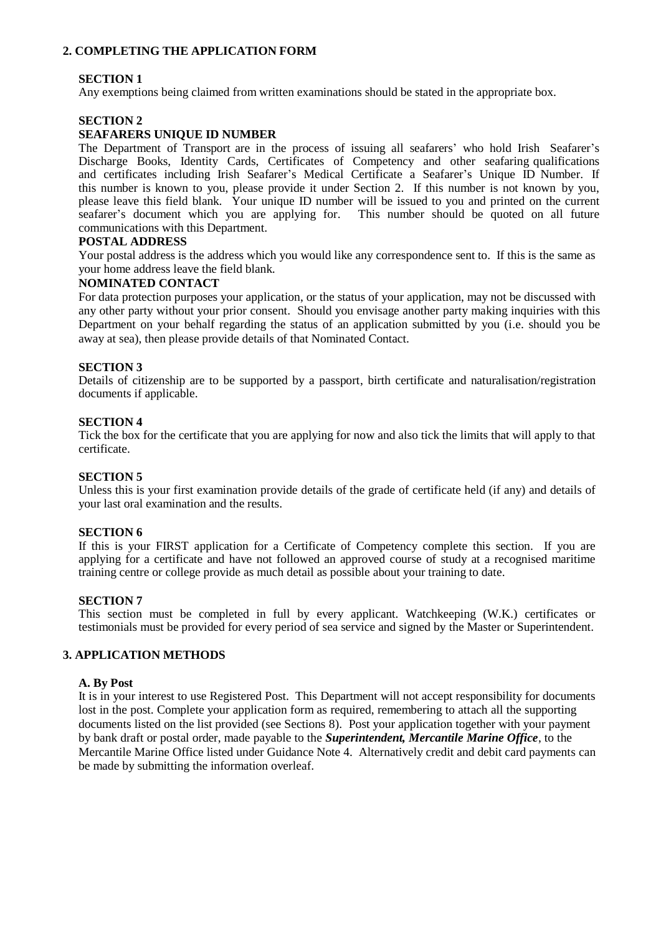## **2. COMPLETING THE APPLICATION FORM**

## **SECTION 1**

Any exemptions being claimed from written examinations should be stated in the appropriate box.

### **SECTION 2**

#### **SEAFARERS UNIQUE ID NUMBER**

The Department of Transport are in the process of issuing all seafarers' who hold Irish Seafarer's Discharge Books, Identity Cards, Certificates of Competency and other seafaring qualifications and certificates including Irish Seafarer's Medical Certificate a Seafarer's Unique ID Number. If this number is known to you, please provide it under Section 2. If this number is not known by you, please leave this field blank. Your unique ID number will be issued to you and printed on the current seafarer's document which you are applying for. This number should be quoted on all future communications with this Department.

#### **POSTAL ADDRESS**

Your postal address is the address which you would like any correspondence sent to. If this is the same as your home address leave the field blank.

#### **NOMINATED CONTACT**

For data protection purposes your application, or the status of your application, may not be discussed with any other party without your prior consent. Should you envisage another party making inquiries with this Department on your behalf regarding the status of an application submitted by you (i.e. should you be away at sea), then please provide details of that Nominated Contact.

#### **SECTION 3**

Details of citizenship are to be supported by a passport, birth certificate and naturalisation/registration documents if applicable.

#### **SECTION 4**

Tick the box for the certificate that you are applying for now and also tick the limits that will apply to that certificate.

#### **SECTION 5**

Unless this is your first examination provide details of the grade of certificate held (if any) and details of your last oral examination and the results.

#### **SECTION 6**

If this is your FIRST application for a Certificate of Competency complete this section. If you are applying for a certificate and have not followed an approved course of study at a recognised maritime training centre or college provide as much detail as possible about your training to date.

#### **SECTION 7**

This section must be completed in full by every applicant. Watchkeeping (W.K.) certificates or testimonials must be provided for every period of sea service and signed by the Master or Superintendent.

#### **3. APPLICATION METHODS**

#### **A. By Post**

It is in your interest to use Registered Post. This Department will not accept responsibility for documents lost in the post. Complete your application form as required, remembering to attach all the supporting documents listed on the list provided (see Sections 8). Post your application together with your payment by bank draft or postal order, made payable to the *Superintendent, Mercantile Marine Office*, to the Mercantile Marine Office listed under Guidance Note 4. Alternatively credit and debit card payments can be made by submitting the information overleaf.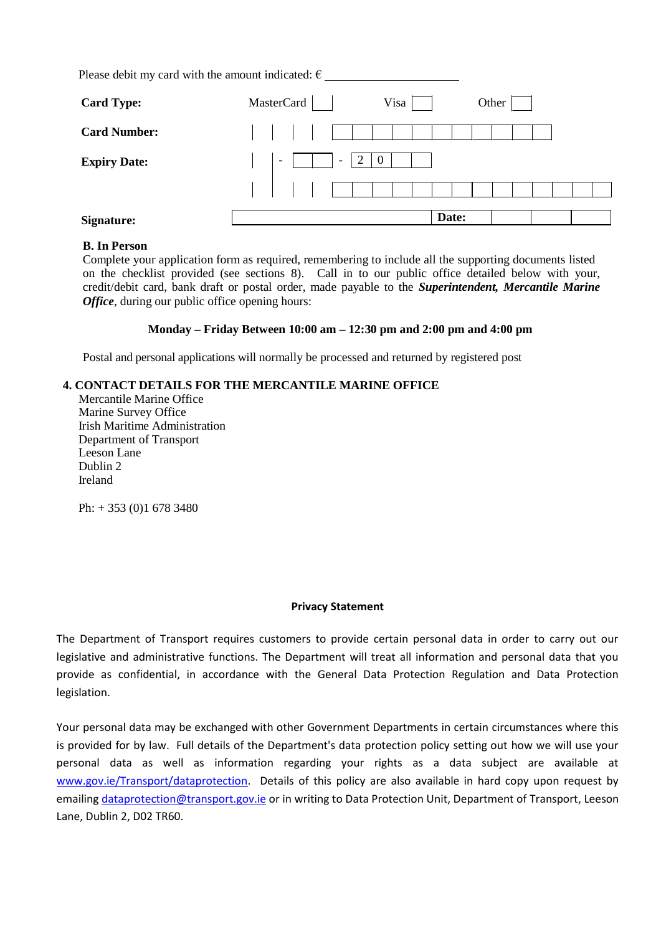Please debit my card with the amount indicated:  $\epsilon$ 

| <b>Card Type:</b>   | MasterCard                                           | Visa     |       | Other |  |
|---------------------|------------------------------------------------------|----------|-------|-------|--|
| <b>Card Number:</b> |                                                      |          |       |       |  |
| <b>Expiry Date:</b> | $\overline{\phantom{a}}$<br>$\overline{\phantom{a}}$ | 2<br>- 0 |       |       |  |
|                     |                                                      |          |       |       |  |
| <b>Signature:</b>   |                                                      |          | Date: |       |  |

#### **B. In Person**

Complete your application form as required, remembering to include all the supporting documents listed on the checklist provided (see sections 8). Call in to our public office detailed below with your, credit/debit card, bank draft or postal order, made payable to the *Superintendent, Mercantile Marine Office*, during our public office opening hours:

#### **Monday – Friday Between 10:00 am – 12:30 pm and 2:00 pm and 4:00 pm**

Postal and personal applications will normally be processed and returned by registered post

## **4. CONTACT DETAILS FOR THE MERCANTILE MARINE OFFICE**

Mercantile Marine Office Marine Survey Office Irish Maritime Administration Department of Transport Leeson Lane Dublin 2 Ireland

Ph: + 353 (0)1 678 3480

#### **Privacy Statement**

The Department of Transport requires customers to provide certain personal data in order to carry out our legislative and administrative functions. The Department will treat all information and personal data that you provide as confidential, in accordance with the General Data Protection Regulation and Data Protection legislation.

Your personal data may be exchanged with other Government Departments in certain circumstances where this is provided for by law. Full details of the Department's data protection policy setting out how we will use your personal data as well as information regarding your rights as a data subject are available at [www.gov.ie/Transport/dataprotection.](http://www.gov.ie/Transport/dataprotection) Details of this policy are also available in hard copy upon request by emailin[g dataprotection@transport.gov.ie](mailto:dataprotection@transport.gov.ie) or in writing to Data Protection Unit, Department of Transport, Leeson Lane, Dublin 2, D02 TR60.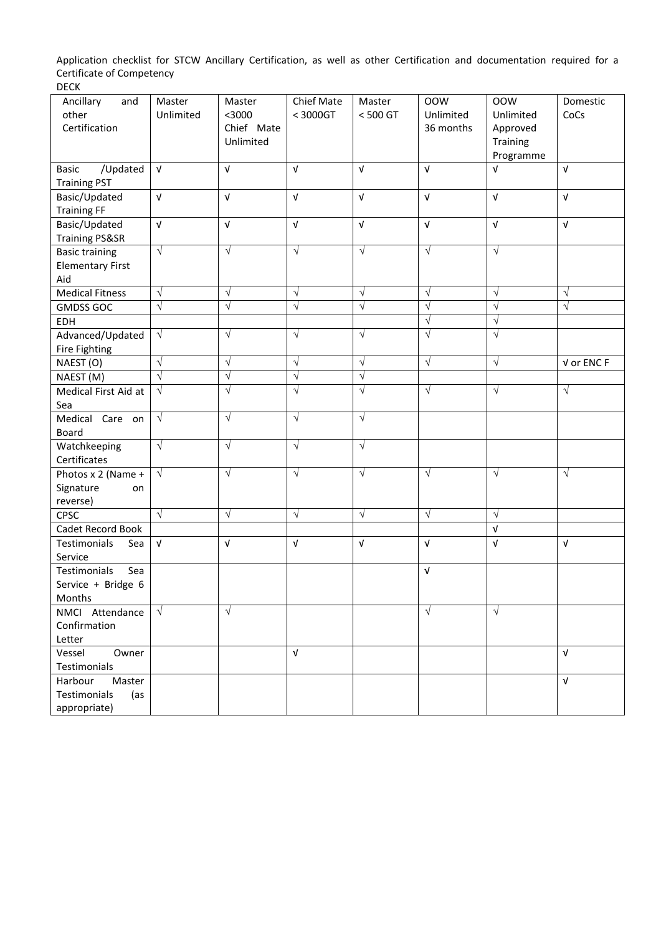Application checklist for STCW Ancillary Certification, as well as other Certification and documentation required for a Certificate of Competency

| Ancillary<br>and          | Master     | Master     | Chief Mate | Master     | <b>OOW</b> | <b>OOW</b> | Domestic   |
|---------------------------|------------|------------|------------|------------|------------|------------|------------|
| other                     | Unlimited  | $<$ 3000   | < 3000GT   | < 500 GT   | Unlimited  | Unlimited  | CoCs       |
| Certification             |            | Chief Mate |            |            | 36 months  | Approved   |            |
|                           |            | Unlimited  |            |            |            | Training   |            |
|                           |            |            |            |            |            | Programme  |            |
| /Updated<br><b>Basic</b>  | $\sqrt{ }$ | $\sqrt{ }$ | $\sqrt{ }$ | $\sqrt{ }$ | $\sqrt{ }$ | $\sqrt{ }$ | $\sqrt{ }$ |
| <b>Training PST</b>       |            |            |            |            |            |            |            |
| Basic/Updated             | $\sqrt{ }$ | $\sqrt{ }$ | $\sqrt{ }$ | $\sqrt{ }$ | $\sqrt{ }$ | $\sqrt{ }$ | $\sqrt{ }$ |
| <b>Training FF</b>        |            |            |            |            |            |            |            |
| Basic/Updated             | $\sqrt{ }$ | $\sqrt{ }$ | $\sqrt{ }$ | $\sqrt{ }$ | $\sqrt{ }$ | $\sqrt{ }$ | $\sqrt{ }$ |
| <b>Training PS&amp;SR</b> |            |            |            |            |            |            |            |
| <b>Basic training</b>     | $\sqrt{}$  | $\sqrt{ }$ | $\sqrt{ }$ | $\sqrt{}$  | $\sqrt{ }$ | $\sqrt{ }$ |            |
| <b>Elementary First</b>   |            |            |            |            |            |            |            |
| Aid                       |            |            |            |            |            |            |            |
| <b>Medical Fitness</b>    | $\sqrt{}$  | $\sqrt{ }$ | $\sqrt{}$  | $\sqrt{}$  | $\sqrt{}$  | $\sqrt{ }$ | $\sqrt{ }$ |
| <b>GMDSS GOC</b>          | $\sqrt{}$  | $\sqrt{}$  | $\sqrt{}$  | $\sqrt{}$  | $\sqrt{}$  | $\sqrt{ }$ | $\sqrt{}$  |
| EDH                       |            |            |            |            | $\sqrt{ }$ | $\sqrt{ }$ |            |
| Advanced/Updated          | $\sqrt{}$  | $\sqrt{ }$ | $\sqrt{}$  | $\sqrt{}$  | $\sqrt{ }$ | $\sqrt{ }$ |            |
| Fire Fighting             |            |            |            |            |            |            |            |
| NAEST (O)                 | $\sqrt{}$  | $\sqrt{ }$ | $\sqrt{}$  | $\sqrt{}$  | $\sqrt{}$  | $\sqrt{}$  | V or ENC F |
| NAEST (M)                 | $\sqrt{ }$ | $\sqrt{}$  | $\sqrt{}$  | $\sqrt{}$  |            |            |            |
| Medical First Aid at      | $\sqrt{}$  | $\sqrt{}$  | $\sqrt{}$  | $\sqrt{}$  | $\sqrt{ }$ | $\sqrt{ }$ | $\sqrt{ }$ |
| Sea                       |            |            |            |            |            |            |            |
| Medical Care<br>on        | $\sqrt{}$  | $\sqrt{ }$ | $\sqrt{}$  | $\sqrt{}$  |            |            |            |
| Board                     |            |            |            |            |            |            |            |
| Watchkeeping              | $\sqrt{}$  | $\sqrt{ }$ | $\sqrt{}$  | $\sqrt{}$  |            |            |            |
| Certificates              |            |            |            |            |            |            |            |
| Photos x 2 (Name +        | $\sqrt{}$  | $\sqrt{ }$ | $\sqrt{ }$ | $\sqrt{}$  | $\sqrt{}$  | $\sqrt{ }$ | $\sqrt{}$  |
| Signature<br>on           |            |            |            |            |            |            |            |
| reverse)                  |            |            |            |            |            |            |            |
| CPSC                      | $\sqrt{ }$ | $\sqrt{}$  | $\sqrt{}$  | $\sqrt{}$  | $\sqrt{}$  | $\sqrt{ }$ |            |
| Cadet Record Book         |            |            |            |            |            | $\sqrt{ }$ |            |
| Testimonials<br>Sea       | $\sqrt{ }$ | V          | $\sqrt{ }$ | $\sqrt{ }$ | $\sqrt{ }$ | V          | $\sqrt{ }$ |
| Service                   |            |            |            |            |            |            |            |
| Testimonials<br>Sea       |            |            |            |            | V          |            |            |
| Service + Bridge 6        |            |            |            |            |            |            |            |
| Months                    |            |            |            |            |            |            |            |
| NMCI Attendance           | $\sqrt{ }$ | $\sqrt{ }$ |            |            | $\sqrt{ }$ | $\sqrt{ }$ |            |
| Confirmation              |            |            |            |            |            |            |            |
| Letter                    |            |            |            |            |            |            |            |
| Vessel<br>Owner           |            |            | $\sqrt{ }$ |            |            |            | $\sqrt{ }$ |
| Testimonials              |            |            |            |            |            |            |            |
| Harbour<br>Master         |            |            |            |            |            |            | $\sqrt{ }$ |
| Testimonials<br>(as       |            |            |            |            |            |            |            |
| appropriate)              |            |            |            |            |            |            |            |